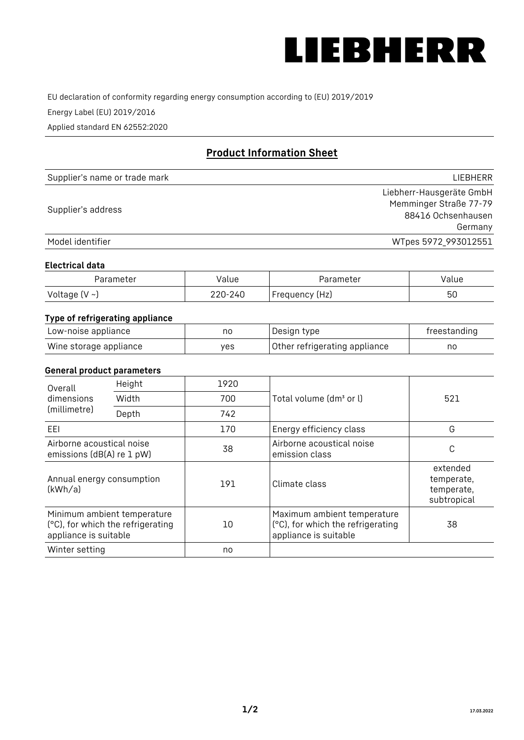

EU declaration of conformity regarding energy consumption according to (EU) 2019/2019

Energy Label (EU) 2019/2016

Applied standard EN 62552:2020

# **Product Information Sheet**

| Supplier's name or trade mark | LIEBHERR                 |
|-------------------------------|--------------------------|
|                               | Liebherr-Hausgeräte GmbH |
| Supplier's address            | Memminger Straße 77-79   |
|                               | 88416 Ochsenhausen       |
|                               | Germany                  |
| Model identifier              | WTpes 5972_993012551     |

#### **Electrical data**

| Parameter          | Value   | Parameter      | value |
|--------------------|---------|----------------|-------|
| Voltage $(V \sim)$ | 220-240 | Frequency (Hz) | 50    |

# **Type of refrigerating appliance**

| Low-noise appliance    | nc  | Design type                   | freestanding |
|------------------------|-----|-------------------------------|--------------|
| Wine storage appliance | ves | Other refrigerating appliance | no           |

### **General product parameters**

| Height<br>Overall                                                                         |       | 1920 |                                                                                           |                                                     |
|-------------------------------------------------------------------------------------------|-------|------|-------------------------------------------------------------------------------------------|-----------------------------------------------------|
| dimensions<br>(millimetre)                                                                | Width | 700  | Total volume (dm <sup>3</sup> or l)                                                       | 521                                                 |
|                                                                                           | Depth | 742  |                                                                                           |                                                     |
| EEL                                                                                       |       | 170  | Energy efficiency class                                                                   | G                                                   |
| Airborne acoustical noise<br>emissions (dB(A) re 1 pW)                                    |       | 38   | Airborne acoustical noise<br>emission class                                               | C                                                   |
| Annual energy consumption<br>(kWh/a)                                                      |       | 191  | Climate class                                                                             | extended<br>temperate,<br>temperate,<br>subtropical |
| Minimum ambient temperature<br>(°C), for which the refrigerating<br>appliance is suitable |       | 10   | Maximum ambient temperature<br>(°C), for which the refrigerating<br>appliance is suitable | 38                                                  |
| Winter setting                                                                            |       | no   |                                                                                           |                                                     |